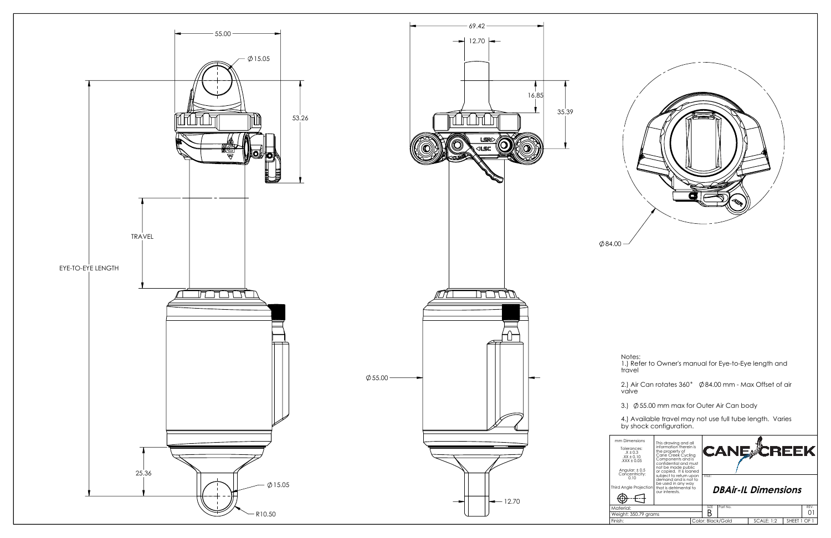